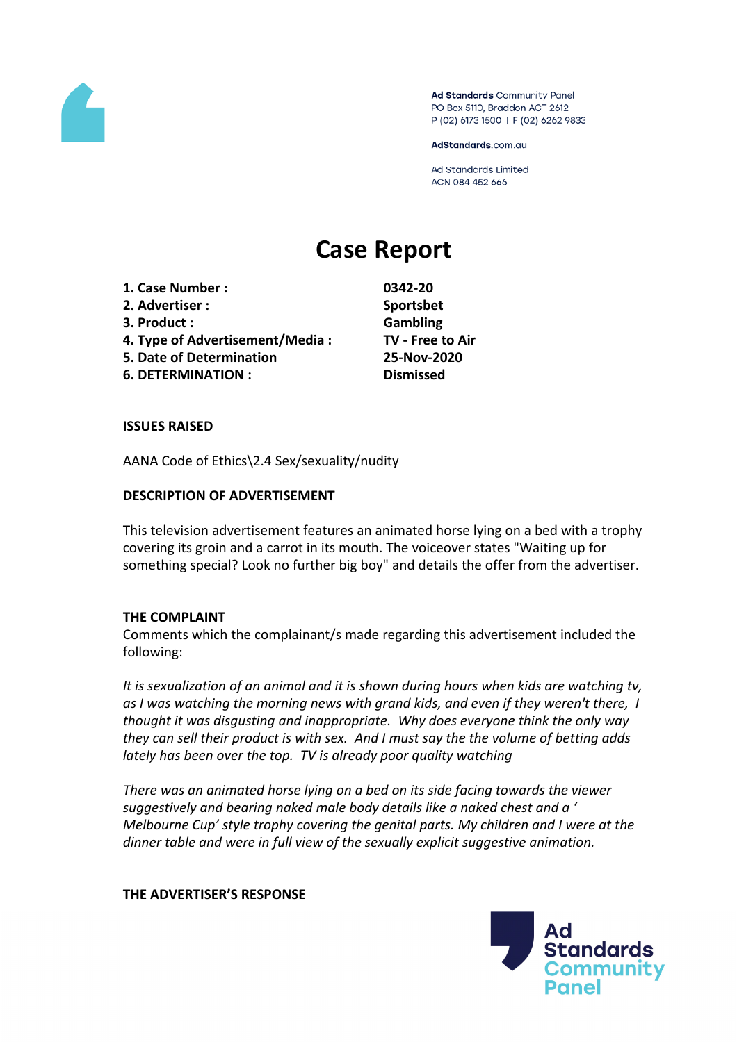

Ad Standards Community Panel PO Box 5110, Braddon ACT 2612 P (02) 6173 1500 | F (02) 6262 9833

AdStandards.com.au

Ad Standards Limited ACN 084 452 666

# **Case Report**

- **1. Case Number : 0342-20 2. Advertiser : Sportsbet**
- **3. Product : Gambling**
- **4. Type of Advertisement/Media : TV - Free to Air**
- **5. Date of Determination 25-Nov-2020**
- **6. DETERMINATION : Dismissed**

# **ISSUES RAISED**

AANA Code of Ethics\2.4 Sex/sexuality/nudity

#### **DESCRIPTION OF ADVERTISEMENT**

This television advertisement features an animated horse lying on a bed with a trophy covering its groin and a carrot in its mouth. The voiceover states "Waiting up for something special? Look no further big boy" and details the offer from the advertiser.

# **THE COMPLAINT**

Comments which the complainant/s made regarding this advertisement included the following:

*It is sexualization of an animal and it is shown during hours when kids are watching tv, as I was watching the morning news with grand kids, and even if they weren't there, I thought it was disgusting and inappropriate. Why does everyone think the only way they can sell their product is with sex. And I must say the the volume of betting adds lately has been over the top. TV is already poor quality watching*

*There was an animated horse lying on a bed on its side facing towards the viewer suggestively and bearing naked male body details like a naked chest and a ' Melbourne Cup' style trophy covering the genital parts. My children and I were at the dinner table and were in full view of the sexually explicit suggestive animation.*

#### **THE ADVERTISER'S RESPONSE**

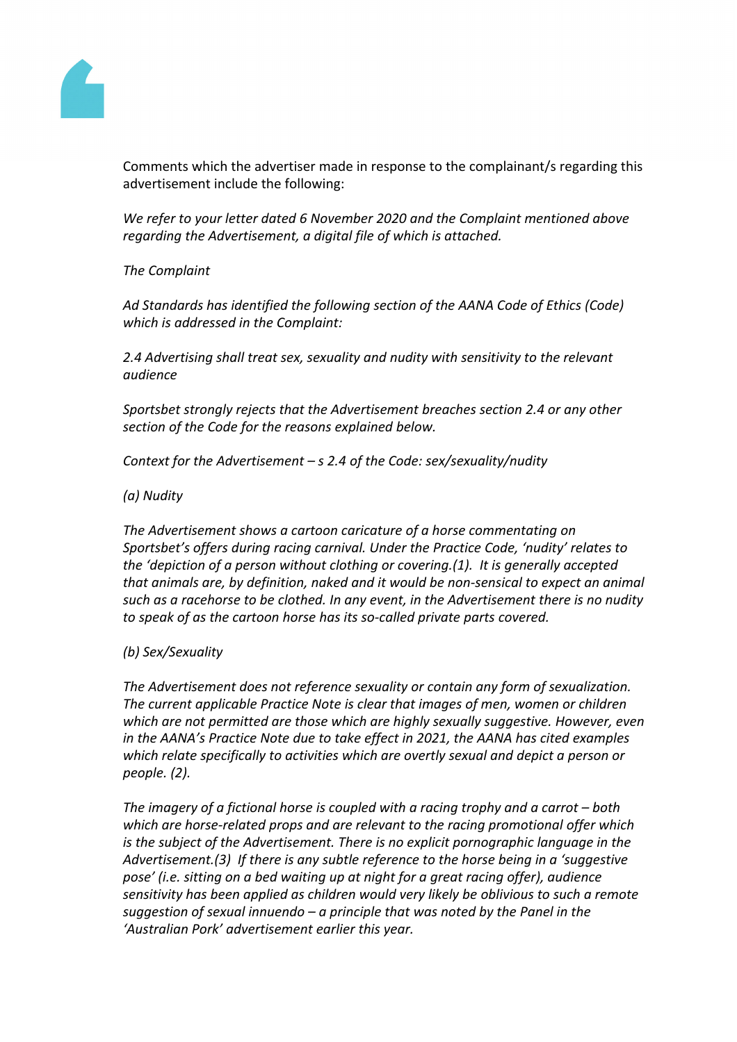

Comments which the advertiser made in response to the complainant/s regarding this advertisement include the following:

*We refer to your letter dated 6 November 2020 and the Complaint mentioned above regarding the Advertisement, a digital file of which is attached.*

# *The Complaint*

*Ad Standards has identified the following section of the AANA Code of Ethics (Code) which is addressed in the Complaint:*

*2.4 Advertising shall treat sex, sexuality and nudity with sensitivity to the relevant audience*

*Sportsbet strongly rejects that the Advertisement breaches section 2.4 or any other section of the Code for the reasons explained below.* 

*Context for the Advertisement – s 2.4 of the Code: sex/sexuality/nudity*

#### *(a) Nudity*

*The Advertisement shows a cartoon caricature of a horse commentating on Sportsbet's offers during racing carnival. Under the Practice Code, 'nudity' relates to the 'depiction of a person without clothing or covering.(1). It is generally accepted that animals are, by definition, naked and it would be non-sensical to expect an animal such as a racehorse to be clothed. In any event, in the Advertisement there is no nudity to speak of as the cartoon horse has its so-called private parts covered.*

#### *(b) Sex/Sexuality*

*The Advertisement does not reference sexuality or contain any form of sexualization. The current applicable Practice Note is clear that images of men, women or children which are not permitted are those which are highly sexually suggestive. However, even in the AANA's Practice Note due to take effect in 2021, the AANA has cited examples which relate specifically to activities which are overtly sexual and depict a person or people. (2).*

*The imagery of a fictional horse is coupled with a racing trophy and a carrot – both which are horse-related props and are relevant to the racing promotional offer which is the subject of the Advertisement. There is no explicit pornographic language in the Advertisement.(3) If there is any subtle reference to the horse being in a 'suggestive pose' (i.e. sitting on a bed waiting up at night for a great racing offer), audience sensitivity has been applied as children would very likely be oblivious to such a remote suggestion of sexual innuendo – a principle that was noted by the Panel in the 'Australian Pork' advertisement earlier this year.*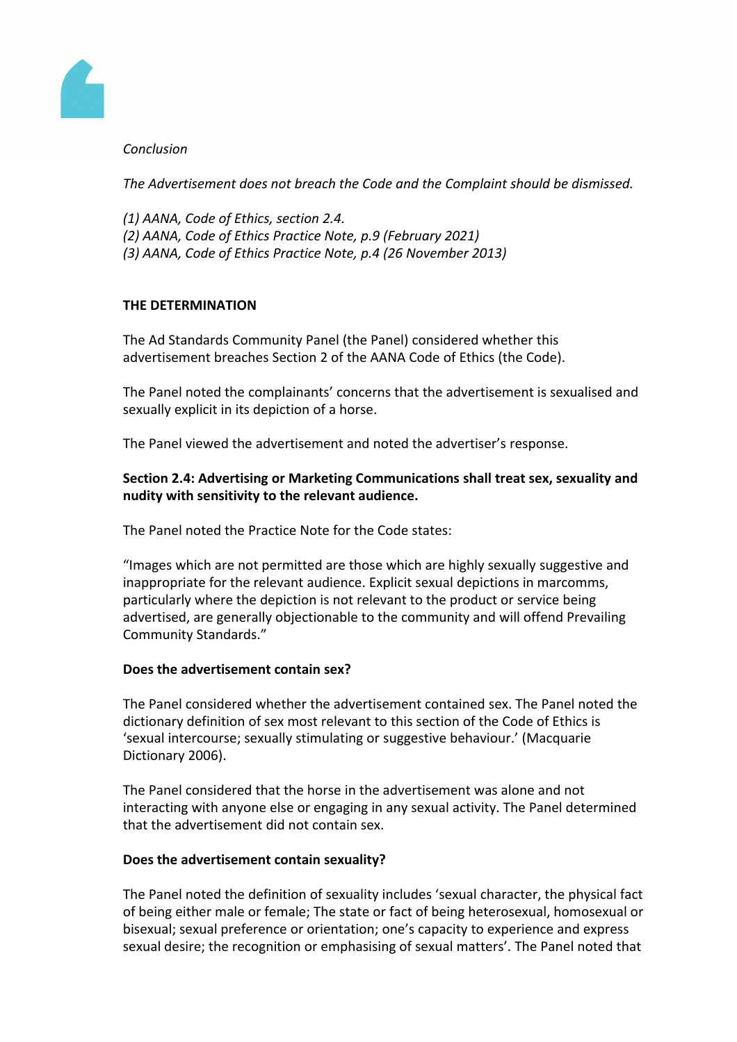

# *Conclusion*

*The Advertisement does not breach the Code and the Complaint should be dismissed.*

- *(1) AANA, Code of Ethics, section 2.4.*
- *(2) AANA, Code of Ethics Practice Note, p.9 (February 2021)*
- *(3) AANA, Code of Ethics Practice Note, p.4 (26 November 2013)*

# **THE DETERMINATION**

The Ad Standards Community Panel (the Panel) considered whether this advertisement breaches Section 2 of the AANA Code of Ethics (the Code).

The Panel noted the complainants' concerns that the advertisement is sexualised and sexually explicit in its depiction of a horse.

The Panel viewed the advertisement and noted the advertiser's response.

# **Section 2.4: Advertising or Marketing Communications shall treat sex, sexuality and nudity with sensitivity to the relevant audience.**

The Panel noted the Practice Note for the Code states:

"Images which are not permitted are those which are highly sexually suggestive and inappropriate for the relevant audience. Explicit sexual depictions in marcomms, particularly where the depiction is not relevant to the product or service being advertised, are generally objectionable to the community and will offend Prevailing Community Standards."

# **Does the advertisement contain sex?**

The Panel considered whether the advertisement contained sex. The Panel noted the dictionary definition of sex most relevant to this section of the Code of Ethics is 'sexual intercourse; sexually stimulating or suggestive behaviour.' (Macquarie Dictionary 2006).

The Panel considered that the horse in the advertisement was alone and not interacting with anyone else or engaging in any sexual activity. The Panel determined that the advertisement did not contain sex.

# **Does the advertisement contain sexuality?**

The Panel noted the definition of sexuality includes 'sexual character, the physical fact of being either male or female; The state or fact of being heterosexual, homosexual or bisexual; sexual preference or orientation; one's capacity to experience and express sexual desire; the recognition or emphasising of sexual matters'. The Panel noted that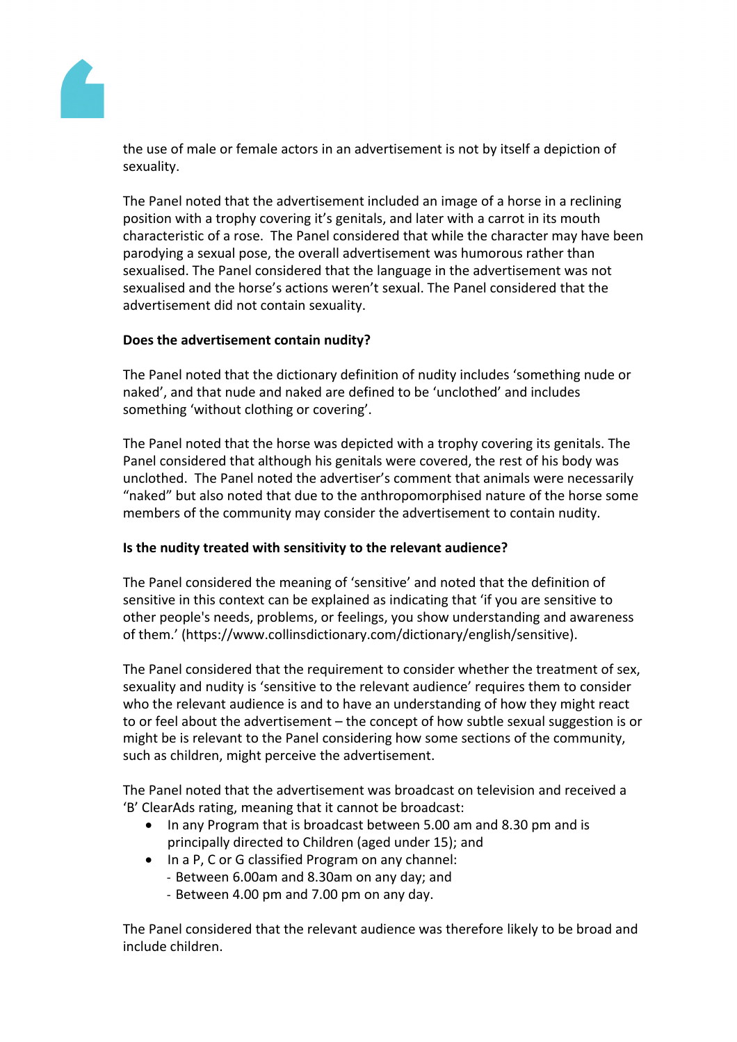

the use of male or female actors in an advertisement is not by itself a depiction of sexuality.

The Panel noted that the advertisement included an image of a horse in a reclining position with a trophy covering it's genitals, and later with a carrot in its mouth characteristic of a rose. The Panel considered that while the character may have been parodying a sexual pose, the overall advertisement was humorous rather than sexualised. The Panel considered that the language in the advertisement was not sexualised and the horse's actions weren't sexual. The Panel considered that the advertisement did not contain sexuality.

# **Does the advertisement contain nudity?**

The Panel noted that the dictionary definition of nudity includes 'something nude or naked', and that nude and naked are defined to be 'unclothed' and includes something 'without clothing or covering'.

The Panel noted that the horse was depicted with a trophy covering its genitals. The Panel considered that although his genitals were covered, the rest of his body was unclothed. The Panel noted the advertiser's comment that animals were necessarily "naked" but also noted that due to the anthropomorphised nature of the horse some members of the community may consider the advertisement to contain nudity.

# **Is the nudity treated with sensitivity to the relevant audience?**

The Panel considered the meaning of 'sensitive' and noted that the definition of sensitive in this context can be explained as indicating that 'if you are sensitive to other people's needs, problems, or feelings, you show understanding and awareness of them.' (https://www.collinsdictionary.com/dictionary/english/sensitive).

The Panel considered that the requirement to consider whether the treatment of sex, sexuality and nudity is 'sensitive to the relevant audience' requires them to consider who the relevant audience is and to have an understanding of how they might react to or feel about the advertisement – the concept of how subtle sexual suggestion is or might be is relevant to the Panel considering how some sections of the community, such as children, might perceive the advertisement.

The Panel noted that the advertisement was broadcast on television and received a 'B' ClearAds rating, meaning that it cannot be broadcast:

- In any Program that is broadcast between 5.00 am and 8.30 pm and is principally directed to Children (aged under 15); and
- In a P, C or G classified Program on any channel:
	- Between 6.00am and 8.30am on any day; and
	- Between 4.00 pm and 7.00 pm on any day.

The Panel considered that the relevant audience was therefore likely to be broad and include children.